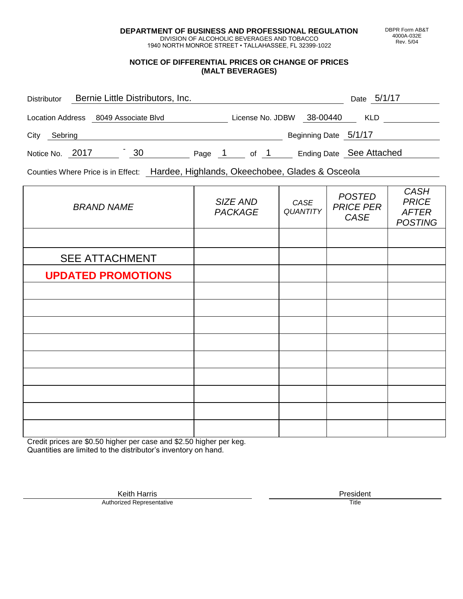**DEPARTMENT OF BUSINESS AND PROFESSIONAL REGULATION** DIVISION OF ALCOHOLIC BEVERAGES AND TOBACCO

1940 NORTH MONROE STREET • TALLAHASSEE, FL 32399-1022

#### **NOTICE OF DIFFERENTIAL PRICES OR CHANGE OF PRICES (MALT BEVERAGES)**

| <b>Distributor</b>      |                     | Bernie Little Distributors, Inc. |        |                  |                       | Date 5/1/17              |
|-------------------------|---------------------|----------------------------------|--------|------------------|-----------------------|--------------------------|
| <b>Location Address</b> | 8049 Associate Blvd |                                  |        | License No. JDBW | 38-00440              | <b>KLD</b>               |
| City<br>Sebring         |                     |                                  |        |                  | Beginning Date 5/1/17 |                          |
| Notice No. 2017         |                     | 30                               | Page 1 | of 1             |                       | Ending Date See Attached |
|                         |                     |                                  |        |                  |                       |                          |

Counties Where Price is in Effect: Hardee, Highlands, Okeechobee, Glades & Osceola

| <b>BRAND NAME</b>         | SIZE AND<br><b>PACKAGE</b> | CASE<br><b>QUANTITY</b> | <b>POSTED</b><br><b>PRICE PER</b><br>CASE | <b>CASH</b><br><b>PRICE</b><br><b>AFTER</b><br><b>POSTING</b> |
|---------------------------|----------------------------|-------------------------|-------------------------------------------|---------------------------------------------------------------|
|                           |                            |                         |                                           |                                                               |
| <b>SEE ATTACHMENT</b>     |                            |                         |                                           |                                                               |
| <b>UPDATED PROMOTIONS</b> |                            |                         |                                           |                                                               |
|                           |                            |                         |                                           |                                                               |
|                           |                            |                         |                                           |                                                               |
|                           |                            |                         |                                           |                                                               |
|                           |                            |                         |                                           |                                                               |
|                           |                            |                         |                                           |                                                               |
|                           |                            |                         |                                           |                                                               |
|                           |                            |                         |                                           |                                                               |
|                           |                            |                         |                                           |                                                               |
|                           |                            |                         |                                           |                                                               |

Credit prices are \$0.50 higher per case and \$2.50 higher per keg. Quantities are limited to the distributor's inventory on hand.

> Keith Harris **President**<br> **President**<br>
> Prized Representative **President Authorized Representative**

DBPR Form AB&T 4000A-032E Rev. 5/04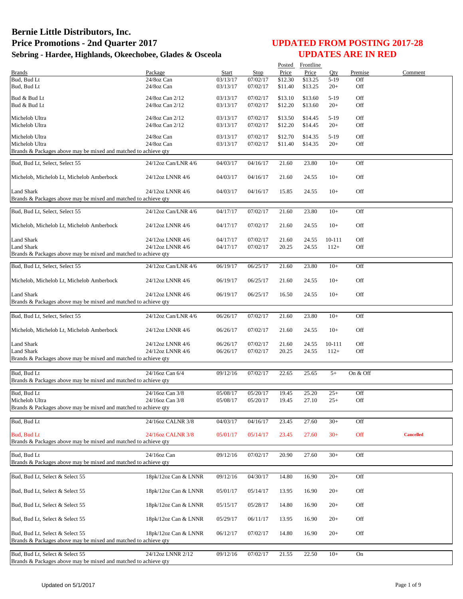|                                                                                   |                      |          |                      |         | Posted Frontline |                 |            |                  |
|-----------------------------------------------------------------------------------|----------------------|----------|----------------------|---------|------------------|-----------------|------------|------------------|
| <b>Brands</b>                                                                     | Package              | Start    | Stop                 | Price   | Price            | Qty             | Premise    | Comment          |
| Bud, Bud Lt                                                                       | 24/8oz Can           | 03/13/17 | 07/02/17             | \$12.30 | \$13.25          | $5-19$          | Off        |                  |
| Bud, Bud Lt                                                                       | $24/8$ oz Can        | 03/13/17 | 07/02/17             | \$11.40 | \$13.25          | $20+$           | Off        |                  |
| Bud & Bud Lt                                                                      | 24/8oz Can 2/12      | 03/13/17 | 07/02/17             | \$13.10 | \$13.60          | $5-19$          | Off        |                  |
| Bud & Bud Lt                                                                      | 24/8oz Can 2/12      | 03/13/17 | 07/02/17             | \$12.20 | \$13.60          | $20+$           | Off        |                  |
|                                                                                   |                      |          |                      |         |                  |                 |            |                  |
| Michelob Ultra                                                                    | 24/8oz Can 2/12      | 03/13/17 | 07/02/17             | \$13.50 | \$14.45          | $5-19$          | Off        |                  |
| Michelob Ultra                                                                    | 24/8oz Can 2/12      | 03/13/17 | 07/02/17             | \$12.20 | \$14.45          | $20+$           | Off        |                  |
|                                                                                   |                      |          |                      |         |                  |                 |            |                  |
| Michelob Ultra                                                                    | 24/8oz Can           | 03/13/17 | 07/02/17<br>07/02/17 | \$12.70 | \$14.35          | $5-19$<br>$20+$ | Off<br>Off |                  |
| Michelob Ultra<br>Brands & Packages above may be mixed and matched to achieve qty | 24/8oz Can           | 03/13/17 |                      | \$11.40 | \$14.35          |                 |            |                  |
|                                                                                   |                      |          |                      |         |                  |                 |            |                  |
| Bud, Bud Lt, Select, Select 55                                                    | 24/12oz Can/LNR 4/6  | 04/03/17 | 04/16/17             | 21.60   | 23.80            | $10+$           | Off        |                  |
|                                                                                   |                      |          |                      |         |                  |                 |            |                  |
| Michelob, Michelob Lt, Michelob Amberbock                                         | 24/12oz LNNR 4/6     | 04/03/17 | 04/16/17             | 21.60   | 24.55            | $10+$           | Off        |                  |
|                                                                                   |                      |          |                      |         |                  |                 |            |                  |
| <b>Land Shark</b>                                                                 | 24/12oz LNNR 4/6     | 04/03/17 | 04/16/17             | 15.85   | 24.55            | $10+$           | Off        |                  |
| Brands & Packages above may be mixed and matched to achieve qty                   |                      |          |                      |         |                  |                 |            |                  |
|                                                                                   |                      |          |                      |         |                  |                 |            |                  |
| Bud, Bud Lt, Select, Select 55                                                    | 24/12oz Can/LNR 4/6  | 04/17/17 | 07/02/17             | 21.60   | 23.80            | $10+$           | Off        |                  |
|                                                                                   |                      |          |                      |         |                  | $10+$           | Off        |                  |
| Michelob, Michelob Lt, Michelob Amberbock                                         | 24/12oz LNNR 4/6     | 04/17/17 | 07/02/17             | 21.60   | 24.55            |                 |            |                  |
| Land Shark                                                                        | 24/12oz LNNR 4/6     | 04/17/17 | 07/02/17             | 21.60   | 24.55            | 10-111          | Off        |                  |
| <b>Land Shark</b>                                                                 | 24/12oz LNNR 4/6     | 04/17/17 | 07/02/17             | 20.25   | 24.55            | $112+$          | Off        |                  |
| Brands & Packages above may be mixed and matched to achieve qty                   |                      |          |                      |         |                  |                 |            |                  |
|                                                                                   |                      |          |                      |         |                  |                 |            |                  |
| Bud. Bud Lt. Select. Select 55                                                    | 24/12oz Can/LNR 4/6  | 06/19/17 | 06/25/17             | 21.60   | 23.80            | $10+$           | Off        |                  |
|                                                                                   |                      |          |                      |         |                  |                 |            |                  |
| Michelob, Michelob Lt, Michelob Amberbock                                         | 24/12oz LNNR 4/6     | 06/19/17 | 06/25/17             | 21.60   | 24.55            | $10+$           | Off        |                  |
|                                                                                   |                      |          |                      |         |                  |                 |            |                  |
| <b>Land Shark</b>                                                                 | 24/12oz LNNR 4/6     | 06/19/17 | 06/25/17             | 16.50   | 24.55            | $10+$           | Off        |                  |
| Brands & Packages above may be mixed and matched to achieve qty                   |                      |          |                      |         |                  |                 |            |                  |
|                                                                                   |                      |          |                      |         |                  |                 |            |                  |
| Bud, Bud Lt, Select, Select 55                                                    | 24/12oz Can/LNR 4/6  | 06/26/17 | 07/02/17             | 21.60   | 23.80            | $10+$           | Off        |                  |
|                                                                                   |                      |          |                      |         |                  |                 |            |                  |
| Michelob, Michelob Lt, Michelob Amberbock                                         | 24/12oz LNNR 4/6     | 06/26/17 | 07/02/17             | 21.60   | 24.55            | $10+$           | Off        |                  |
|                                                                                   |                      |          |                      |         |                  |                 |            |                  |
| <b>Land Shark</b>                                                                 | 24/12oz LNNR 4/6     | 06/26/17 | 07/02/17             | 21.60   | 24.55            | 10-111          | Off        |                  |
| <b>Land Shark</b>                                                                 | 24/12oz LNNR 4/6     | 06/26/17 | 07/02/17             | 20.25   | 24.55            | $112+$          | Off        |                  |
| Brands & Packages above may be mixed and matched to achieve qty                   |                      |          |                      |         |                  |                 |            |                  |
| Bud. Bud Lt                                                                       |                      |          |                      |         |                  |                 |            |                  |
| Brands & Packages above may be mixed and matched to achieve qty                   | 24/16oz Can 6/4      | 09/12/16 | 07/02/17             | 22.65   | 25.65            | $5+$            | On & Off   |                  |
|                                                                                   |                      |          |                      |         |                  |                 |            |                  |
| Bud, Bud Lt                                                                       | 24/16oz Can 3/8      | 05/08/17 | 05/20/17             | 19.45   | 25.20            | $25+$           | Off        |                  |
| Michelob Ultra                                                                    | 24/16oz Can 3/8      | 05/08/17 | 05/20/17             | 19.45   | 27.10            | $25+$           | Off        |                  |
| Brands & Packages above may be mixed and matched to achieve qty                   |                      |          |                      |         |                  |                 |            |                  |
|                                                                                   |                      |          |                      |         |                  |                 |            |                  |
| Bud, Bud Lt                                                                       | 24/16oz CALNR 3/8    | 04/03/17 | 04/16/17             | 23.45   | 27.60            | $30+$           | Off        |                  |
|                                                                                   |                      |          |                      |         |                  |                 |            |                  |
| <b>Bud, Bud Lt</b>                                                                | 24/16oz CALNR 3/8    | 05/01/17 | 05/14/17             | 23.45   | 27.60            | $30+$           | Off        | <b>Cancelled</b> |
| Brands & Packages above may be mixed and matched to achieve qty                   |                      |          |                      |         |                  |                 |            |                  |
|                                                                                   |                      |          |                      |         |                  |                 |            |                  |
| Bud. Bud Lt                                                                       | 24/16oz Can          | 09/12/16 | 07/02/17             | 20.90   | 27.60            | $30+$           | Off        |                  |
| Brands & Packages above may be mixed and matched to achieve qty                   |                      |          |                      |         |                  |                 |            |                  |
|                                                                                   |                      |          |                      |         |                  |                 |            |                  |
| Bud, Bud Lt, Select & Select 55                                                   | 18pk/12oz Can & LNNR | 09/12/16 | 04/30/17             | 14.80   | 16.90            | $20+$           | Off        |                  |
|                                                                                   |                      |          |                      |         |                  |                 |            |                  |
| Bud, Bud Lt, Select & Select 55                                                   | 18pk/12oz Can & LNNR | 05/01/17 | 05/14/17             | 13.95   | 16.90            | $20+$           | Off        |                  |
| Bud, Bud Lt, Select & Select 55                                                   | 18pk/12oz Can & LNNR | 05/15/17 |                      | 14.80   | 16.90            | $20+$           | Off        |                  |
|                                                                                   |                      |          | 05/28/17             |         |                  |                 |            |                  |
| Bud, Bud Lt, Select & Select 55                                                   | 18pk/12oz Can & LNNR | 05/29/17 | 06/11/17             | 13.95   | 16.90            | $20+$           | Off        |                  |
|                                                                                   |                      |          |                      |         |                  |                 |            |                  |
| Bud, Bud Lt, Select & Select 55                                                   | 18pk/12oz Can & LNNR | 06/12/17 | 07/02/17             | 14.80   | 16.90            | $20+$           | Off        |                  |
| Brands & Packages above may be mixed and matched to achieve qty                   |                      |          |                      |         |                  |                 |            |                  |
|                                                                                   |                      |          |                      |         |                  |                 |            |                  |
| Bud, Bud Lt, Select & Select 55                                                   | 24/12oz LNNR 2/12    | 09/12/16 | 07/02/17             | 21.55   | 22.50            | $10+$           | On         |                  |
| Brands & Packages above may be mixed and matched to achieve qty                   |                      |          |                      |         |                  |                 |            |                  |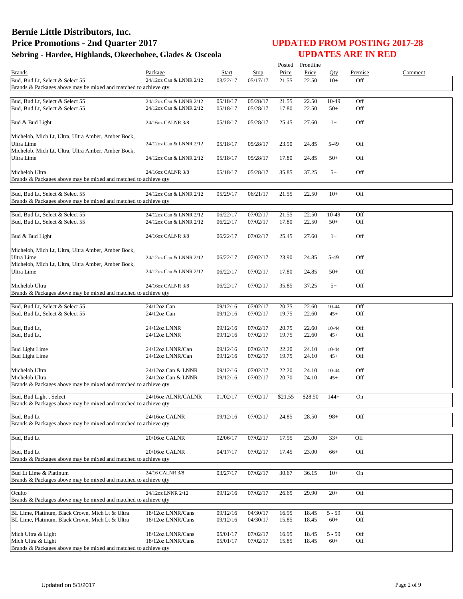|                                                                                                    |                                        |                      |                      | Posted         | Frontline      |                   |            |         |
|----------------------------------------------------------------------------------------------------|----------------------------------------|----------------------|----------------------|----------------|----------------|-------------------|------------|---------|
| <b>Brands</b>                                                                                      | Package                                | Start                | Stop                 | Price          | Price          | Oty               | Premise    | Comment |
| Bud, Bud Lt, Select & Select 55<br>Brands & Packages above may be mixed and matched to achieve qty | 24/12oz Can & LNNR 2/12                | 03/22/17             | 05/17/17             | 21.55          | 22.50          | $10+$             | Off        |         |
|                                                                                                    |                                        |                      |                      |                |                |                   |            |         |
| Bud, Bud Lt, Select & Select 55                                                                    | 24/12oz Can & LNNR 2/12                | 05/18/17             | 05/28/17             | 21.55          | 22.50          | 10-49             | Off        |         |
| Bud, Bud Lt, Select & Select 55                                                                    | 24/12oz Can & LNNR 2/12                | 05/18/17             | 05/28/17             | 17.80          | 22.50          | $50+$             | Off        |         |
| Bud & Bud Light                                                                                    | 24/16oz CALNR 3/8                      | 05/18/17             | 05/28/17             | 25.45          | 27.60          | $1+$              | Off        |         |
| Michelob, Mich Lt, Ultra, Ultra Amber, Amber Bock,                                                 |                                        |                      |                      |                |                |                   |            |         |
| Ultra Lime<br>Michelob, Mich Lt, Ultra, Ultra Amber, Amber Bock,                                   | 24/12oz Can & LNNR 2/12                | 05/18/17             | 05/28/17             | 23.90          | 24.85          | 5-49              | Off        |         |
| Ultra Lime                                                                                         | 24/12oz Can & LNNR 2/12                | 05/18/17             | 05/28/17             | 17.80          | 24.85          | $50+$             | Off        |         |
| Michelob Ultra<br>Brands & Packages above may be mixed and matched to achieve qty                  | 24/16oz CALNR 3/8                      | 05/18/17             | 05/28/17             | 35.85          | 37.25          | $5+$              | Off        |         |
|                                                                                                    |                                        |                      |                      |                |                |                   |            |         |
| Bud, Bud Lt, Select & Select 55<br>Brands & Packages above may be mixed and matched to achieve qty | 24/12oz Can & LNNR 2/12                | 05/29/17             | 06/21/17             | 21.55          | 22.50          | $10+$             | Off        |         |
| Bud, Bud Lt, Select & Select 55                                                                    | 24/12oz Can & LNNR 2/12                | 06/22/17             | 07/02/17             | 21.55          | 22.50          | 10-49             | Off        |         |
| Bud, Bud Lt, Select & Select 55                                                                    | 24/12oz Can & LNNR 2/12                | 06/22/17             | 07/02/17             | 17.80          | 22.50          | $50+$             | Off        |         |
| Bud & Bud Light                                                                                    | 24/16oz CALNR 3/8                      | 06/22/17             | 07/02/17             | 25.45          | 27.60          | $1+$              | Off        |         |
| Michelob, Mich Lt, Ultra, Ultra Amber, Amber Bock,                                                 |                                        |                      |                      |                |                |                   |            |         |
| Ultra Lime<br>Michelob, Mich Lt, Ultra, Ultra Amber, Amber Bock,                                   | 24/12oz Can & LNNR 2/12                | 06/22/17             | 07/02/17             | 23.90          | 24.85          | 5-49              | Off        |         |
| Ultra Lime                                                                                         | 24/12oz Can & LNNR 2/12                | 06/22/17             | 07/02/17             | 17.80          | 24.85          | $50+$             | Off        |         |
| Michelob Ultra<br>Brands & Packages above may be mixed and matched to achieve qty                  | 24/16oz CALNR 3/8                      | 06/22/17             | 07/02/17             | 35.85          | 37.25          | $5+$              | Off        |         |
|                                                                                                    |                                        |                      |                      |                |                |                   |            |         |
| Bud, Bud Lt, Select & Select 55                                                                    | $24/12$ oz Can                         | 09/12/16             | 07/02/17             | 20.75          | 22.60          | 10-44             | Off        |         |
| Bud, Bud Lt, Select & Select 55                                                                    | $24/12$ oz Can                         | 09/12/16             | 07/02/17             | 19.75          | 22.60          | $45+$             | Off        |         |
| Bud, Bud Lt,                                                                                       | 24/12oz LNNR                           | 09/12/16             | 07/02/17             | 20.75          | 22.60          | 10-44             | Off        |         |
| Bud, Bud Lt,                                                                                       | 24/12oz LNNR                           | 09/12/16             | 07/02/17             | 19.75          | 22.60          | $45+$             | Off        |         |
|                                                                                                    |                                        |                      |                      |                |                |                   |            |         |
| <b>Bud Light Lime</b>                                                                              | 24/12oz LNNR/Can                       | 09/12/16             | 07/02/17             | 22.20          | 24.10          | 10-44             | Off        |         |
| <b>Bud Light Lime</b>                                                                              | 24/12oz LNNR/Can                       | 09/12/16             | 07/02/17             | 19.75          | 24.10          | $45+$             | Off        |         |
| Michelob Ultra                                                                                     | 24/12oz Can & LNNR                     | 09/12/16             | 07/02/17             | 22.20          | 24.10          | 10-44             | Off        |         |
| Michelob Ultra                                                                                     | 24/12oz Can & LNNR                     | 09/12/16             | 07/02/17             | 20.70          | 24.10          | $45+$             | Off        |         |
| Brands & Packages above may be mixed and matched to achieve qty                                    |                                        |                      |                      |                |                |                   |            |         |
| Bud, Bud Light, Select<br>Brands & Packages above may be mixed and matched to achieve qty          | 24/16oz ALNR/CALNR                     | 01/02/17             | 07/02/17             | \$21.55        | \$28.50        | $144+$            | On         |         |
|                                                                                                    |                                        |                      |                      |                |                |                   |            |         |
| Bud, Bud Lt<br>Brands & Packages above may be mixed and matched to achieve qty                     | 24/16oz CALNR                          | 09/12/16             | 07/02/17             | 24.85          | 28.50          | $98+$             | Off        |         |
| Bud, Bud Lt                                                                                        | 20/16oz CALNR                          | 02/06/17             | 07/02/17             | 17.95          | 23.00          | $33+$             | Off        |         |
| Bud, Bud Lt<br>Brands & Packages above may be mixed and matched to achieve qty                     | 20/16oz CALNR                          | 04/17/17             | 07/02/17             | 17.45          | 23.00          | $66+$             | Off        |         |
| Bud Lt Lime & Platinum                                                                             | 24/16 CALNR 3/8                        | 03/27/17             | 07/02/17             | 30.67          | 36.15          | $10+$             | On         |         |
| Brands & Packages above may be mixed and matched to achieve qty                                    |                                        |                      |                      |                |                |                   |            |         |
| Oculto<br>Brands & Packages above may be mixed and matched to achieve gty                          | 24/12oz LNNR 2/12                      | 09/12/16             | 07/02/17             | 26.65          | 29.90          | $20+$             | Off        |         |
|                                                                                                    |                                        |                      |                      |                |                |                   |            |         |
| BL Lime, Platinum, Black Crown, Mich Lt & Ultra<br>BL Lime, Platinum, Black Crown, Mich Lt & Ultra | 18/12oz LNNR/Cans<br>18/12oz LNNR/Cans | 09/12/16<br>09/12/16 | 04/30/17<br>04/30/17 | 16.95<br>15.85 | 18.45<br>18.45 | $5 - 59$<br>$60+$ | Off<br>Off |         |
| Mich Ultra & Light                                                                                 | 18/12oz LNNR/Cans                      | 05/01/17             | 07/02/17             | 16.95          | 18.45          | 5 - 59            | Off        |         |
| Mich Ultra & Light<br>Brands & Packages above may be mixed and matched to achieve qty              | 18/12oz LNNR/Cans                      | 05/01/17             | 07/02/17             | 15.85          | 18.45          | $60+$             | Off        |         |
|                                                                                                    |                                        |                      |                      |                |                |                   |            |         |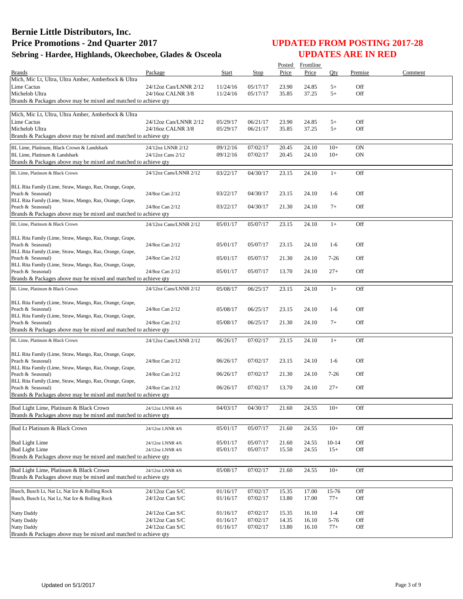|                                                                               |                                            |                      |                      |                | Posted Frontline |                  |            |         |
|-------------------------------------------------------------------------------|--------------------------------------------|----------------------|----------------------|----------------|------------------|------------------|------------|---------|
| <b>Brands</b><br>Mich, Mic Lt, Ultra, Ultra Amber, Amberbock & Ultra          | Package                                    | Start                | Stop                 | Price          | Price            | Qty              | Premise    | Comment |
| Lime Cactus                                                                   | 24/12oz Can/LNNR 2/12                      | 11/24/16             | 05/17/17             | 23.90          | 24.85            | $5+$             | Off        |         |
| Michelob Ultra                                                                | 24/16oz CALNR 3/8                          | 11/24/16             | 05/17/17             | 35.85          | 37.25            | $5+$             | Off        |         |
| Brands & Packages above may be mixed and matched to achieve qty               |                                            |                      |                      |                |                  |                  |            |         |
|                                                                               |                                            |                      |                      |                |                  |                  |            |         |
| Mich, Mic Lt, Ultra, Ultra Amber, Amberbock & Ultra                           |                                            |                      |                      |                |                  |                  |            |         |
| Lime Cactus<br>Michelob Ultra                                                 | 24/12oz Can/LNNR 2/12<br>24/16oz CALNR 3/8 | 05/29/17<br>05/29/17 | 06/21/17<br>06/21/17 | 23.90<br>35.85 | 24.85<br>37.25   | $5+$<br>$5+$     | Off<br>Off |         |
| Brands & Packages above may be mixed and matched to achieve qty               |                                            |                      |                      |                |                  |                  |            |         |
|                                                                               |                                            |                      |                      |                |                  |                  |            |         |
| BL Lime, Platinum, Black Crown & Landshark                                    | 24/12oz LNNR 2/12                          | 09/12/16             | 07/02/17             | 20.45          | 24.10            | $10+$            | <b>ON</b>  |         |
| BL Lime, Platinum & Landshark                                                 | 24/12oz Cans 2/12                          | 09/12/16             | 07/02/17             | 20.45          | 24.10            | $10+$            | <b>ON</b>  |         |
| Brands & Packages above may be mixed and matched to achieve qty               |                                            |                      |                      |                |                  |                  |            |         |
| BL Lime, Platinum & Black Crown                                               | 24/12oz Cans/LNNR 2/12                     | 03/22/17             | 04/30/17             | 23.15          | 24.10            | $1+$             | Off        |         |
|                                                                               |                                            |                      |                      |                |                  |                  |            |         |
| BLL Rita Family (Lime, Straw, Mango, Raz, Orange, Grape,                      |                                            |                      |                      |                |                  |                  | Off        |         |
| Peach & Seasonal)<br>BLL Rita Family (Lime, Straw, Mango, Raz, Orange, Grape, | 24/8oz Can 2/12                            | 03/22/17             | 04/30/17             | 23.15          | 24.10            | $1-6$            |            |         |
| Peach & Seasonal)                                                             | 24/8oz Can 2/12                            | 03/22/17             | 04/30/17             | 21.30          | 24.10            | $7+$             | Off        |         |
| Brands & Packages above may be mixed and matched to achieve qty               |                                            |                      |                      |                |                  |                  |            |         |
| BL Lime, Platinum & Black Crown                                               | 24/12oz Cans/LNNR 2/12                     | 05/01/17             | 05/07/17             | 23.15          | 24.10            | $1+$             | Off        |         |
|                                                                               |                                            |                      |                      |                |                  |                  |            |         |
| BLL Rita Family (Lime, Straw, Mango, Raz, Orange, Grape,                      |                                            |                      |                      |                |                  |                  |            |         |
| Peach & Seasonal)                                                             | 24/8oz Can 2/12                            | 05/01/17             | 05/07/17             | 23.15          | 24.10            | $1-6$            | Off        |         |
| BLL Rita Family (Lime, Straw, Mango, Raz, Orange, Grape,                      |                                            |                      |                      |                |                  |                  |            |         |
| Peach & Seasonal)                                                             | 24/8oz Can 2/12                            | 05/01/17             | 05/07/17             | 21.30          | 24.10            | $7 - 26$         | Off        |         |
| BLL Rita Family (Lime, Straw, Mango, Raz, Orange, Grape,<br>Peach & Seasonal) | 24/8oz Can 2/12                            | 05/01/17             | 05/07/17             | 13.70          | 24.10            | $27+$            | Off        |         |
| Brands & Packages above may be mixed and matched to achieve qty               |                                            |                      |                      |                |                  |                  |            |         |
| BL Lime, Platinum & Black Crown                                               | 24/12oz Cans/LNNR 2/12                     | 05/08/17             | 06/25/17             | 23.15          | 24.10            | $1+$             | Off        |         |
|                                                                               |                                            |                      |                      |                |                  |                  |            |         |
| BLL Rita Family (Lime, Straw, Mango, Raz, Orange, Grape,                      |                                            |                      |                      |                |                  |                  |            |         |
| Peach & Seasonal)                                                             | 24/8oz Can 2/12                            | 05/08/17             | 06/25/17             | 23.15          | 24.10            | $1-6$            | Off        |         |
| BLL Rita Family (Lime, Straw, Mango, Raz, Orange, Grape,                      |                                            |                      |                      |                |                  |                  |            |         |
| Peach & Seasonal)                                                             | 24/8oz Can 2/12                            | 05/08/17             | 06/25/17             | 21.30          | 24.10            | $7+$             | Off        |         |
| Brands & Packages above may be mixed and matched to achieve qty               |                                            |                      |                      |                |                  |                  |            |         |
| BL Lime, Platinum & Black Crown                                               | 24/12oz Cans/LNNR 2/12                     | 06/26/17             | 07/02/17             | 23.15          | 24.10            | $1+$             | Off        |         |
|                                                                               |                                            |                      |                      |                |                  |                  |            |         |
| BLL Rita Family (Lime, Straw, Mango, Raz, Orange, Grape,<br>Peach & Seasonal) | 24/8oz Can 2/12                            | 06/26/17             | 07/02/17             | 23.15          | 24.10            | $1-6$            | Off        |         |
| BLL Rita Family (Lime, Straw, Mango, Raz, Orange, Grape,                      |                                            |                      |                      |                |                  |                  |            |         |
| Peach & Seasonal)                                                             | 24/8oz Can 2/12                            | 06/26/17             | 07/02/17             | 21.30          | 24.10            | 7-26             | Off        |         |
| BLL Rita Family (Lime, Straw, Mango, Raz, Orange, Grape,                      |                                            |                      |                      |                |                  |                  |            |         |
| Peach & Seasonal)                                                             | 24/8oz Can 2/12                            | 06/26/17             | 07/02/17             | 13.70          | 24.10            | $27+$            | Off        |         |
| Brands & Packages above may be mixed and matched to achieve qty               |                                            |                      |                      |                |                  |                  |            |         |
| Bud Light Lime, Platinum & Black Crown                                        | 24/12oz LNNR 4/6                           | 04/03/17             | 04/30/17             | 21.60          | 24.55            | $10+$            | Off        |         |
| Brands & Packages above may be mixed and matched to achieve qty               |                                            |                      |                      |                |                  |                  |            |         |
|                                                                               |                                            |                      |                      |                |                  |                  |            |         |
| Bud Lt Platinum & Black Crown                                                 | 24/12oz LNNR 4/6                           | 05/01/17             | 05/07/17             | 21.60          | 24.55            | $10+$            | Off        |         |
|                                                                               |                                            |                      |                      |                |                  |                  |            |         |
| <b>Bud Light Lime</b><br><b>Bud Light Lime</b>                                | 24/12oz LNNR 4/6<br>24/12oz LNNR 4/6       | 05/01/17<br>05/01/17 | 05/07/17<br>05/07/17 | 21.60<br>15.50 | 24.55<br>24.55   | $10-14$<br>$15+$ | Off<br>Off |         |
| Brands & Packages above may be mixed and matched to achieve qty               |                                            |                      |                      |                |                  |                  |            |         |
|                                                                               |                                            |                      |                      |                |                  |                  |            |         |
| Bud Light Lime, Platinum & Black Crown                                        | 24/12oz LNNR 4/6                           | 05/08/17             | 07/02/17             | 21.60          | 24.55            | $10+$            | Off        |         |
| Brands & Packages above may be mixed and matched to achieve qty               |                                            |                      |                      |                |                  |                  |            |         |
|                                                                               |                                            |                      |                      |                |                  |                  |            |         |
| Busch, Busch Lt, Nat Lt, Nat Ice & Rolling Rock                               | $24/12$ oz Can S/C                         | 01/16/17             | 07/02/17             | 15.35          | 17.00            | 15-76            | Off        |         |
| Busch, Busch Lt, Nat Lt, Nat Ice & Rolling Rock                               | 24/12oz Can S/C                            | 01/16/17             | 07/02/17             | 13.80          | 17.00            | $77+$            | Off        |         |
| Natty Daddy                                                                   | $24/12$ oz Can S/C                         | 01/16/17             | 07/02/17             | 15.35          | 16.10            | $1 - 4$          | Off        |         |
| Natty Daddy                                                                   | 24/12oz Can S/C                            | 01/16/17             | 07/02/17             | 14.35          | 16.10            | 5-76             | Off        |         |
| Natty Daddy                                                                   | $24/12$ oz Can S/C                         | 01/16/17             | 07/02/17             | 13.80          | 16.10            | $77+$            | Off        |         |
| Brands & Packages above may be mixed and matched to achieve qty               |                                            |                      |                      |                |                  |                  |            |         |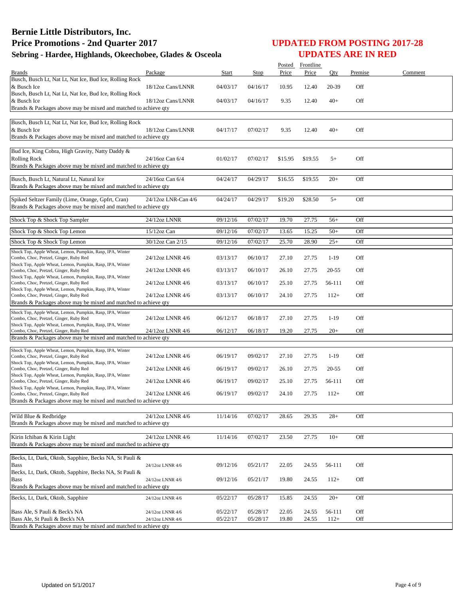|                                                                                                                                               |                                      |                      |                      |                | Posted Frontline |                     |            |         |
|-----------------------------------------------------------------------------------------------------------------------------------------------|--------------------------------------|----------------------|----------------------|----------------|------------------|---------------------|------------|---------|
| <b>Brands</b>                                                                                                                                 | Package                              | Start                | Stop                 | Price          | Price            | Qty                 | Premise    | Comment |
| Busch, Busch Lt, Nat Lt, Nat Ice, Bud Ice, Rolling Rock<br>& Busch Ice                                                                        | 18/12oz Cans/LNNR                    | 04/03/17             | 04/16/17             | 10.95          | 12.40            | 20-39               | Off        |         |
| Busch, Busch Lt, Nat Lt, Nat Ice, Bud Ice, Rolling Rock<br>& Busch Ice<br>Brands & Packages above may be mixed and matched to achieve qty     | 18/12oz Cans/LNNR                    | 04/03/17             | 04/16/17             | 9.35           | 12.40            | $40+$               | Off        |         |
|                                                                                                                                               |                                      |                      |                      |                |                  |                     |            |         |
| Busch, Busch Lt, Nat Lt, Nat Ice, Bud Ice, Rolling Rock<br>& Busch Ice<br>Brands & Packages above may be mixed and matched to achieve qty     | 18/12oz Cans/LNNR                    | 04/17/17             | 07/02/17             | 9.35           | 12.40            | $40+$               | Off        |         |
| Bud Ice, King Cobra, High Gravity, Natty Daddy &<br><b>Rolling Rock</b><br>Brands & Packages above may be mixed and matched to achieve qty    | 24/16oz Can 6/4                      | 01/02/17             | 07/02/17             | \$15.95        | \$19.55          | $5+$                | Off        |         |
| Busch, Busch Lt, Natural Lt, Natural Ice<br>Brands & Packages above may be mixed and matched to achieve qty                                   | 24/16oz Can 6/4                      | 04/24/17             | 04/29/17             | \$16.55        | \$19.55          | $20+$               | Off        |         |
| Spiked Seltzer Family (Lime, Orange, Gpfrt, Cran)<br>Brands & Packages above may be mixed and matched to achieve qty                          | 24/12oz LNR-Can 4/6                  | 04/24/17             | 04/29/17             | \$19.20        | \$28.50          | $5+$                | Off        |         |
| Shock Top & Shock Top Sampler                                                                                                                 | 24/12oz LNNR                         | 09/12/16             | 07/02/17             | 19.70          | 27.75            | $56+$               | Off        |         |
| Shock Top & Shock Top Lemon                                                                                                                   | $15/12$ oz Can                       | 09/12/16             | 07/02/17             | 13.65          | 15.25            | $50+$               | Off        |         |
| Shock Top & Shock Top Lemon                                                                                                                   | 30/12oz Can 2/15                     | 09/12/16             | 07/02/17             | 25.70          | 28.90            | $25+$               | Off        |         |
| Shock Top, Apple Wheat, Lemon, Pumpkin, Rasp, IPA, Winter                                                                                     |                                      |                      |                      |                |                  |                     |            |         |
| Combo, Choc, Pretzel, Ginger, Ruby Red<br>Shock Top, Apple Wheat, Lemon, Pumpkin, Rasp, IPA, Winter<br>Combo, Choc, Pretzel, Ginger, Ruby Red | 24/12oz LNNR 4/6<br>24/12oz LNNR 4/6 | 03/13/17<br>03/13/17 | 06/10/17<br>06/10/17 | 27.10<br>26.10 | 27.75<br>27.75   | $1-19$<br>$20 - 55$ | Off<br>Off |         |
| Shock Top, Apple Wheat, Lemon, Pumpkin, Rasp, IPA, Winter                                                                                     |                                      | 03/13/17             | 06/10/17             | 25.10          | 27.75            | 56-111              | Off        |         |
| Combo, Choc, Pretzel, Ginger, Ruby Red<br>Shock Top, Apple Wheat, Lemon, Pumpkin, Rasp, IPA, Winter                                           | 24/12oz LNNR 4/6<br>24/12oz LNNR 4/6 | 03/13/17             | 06/10/17             | 24.10          | 27.75            | $112+$              | Off        |         |
| Combo, Choc, Pretzel, Ginger, Ruby Red<br>Brands & Packages above may be mixed and matched to achieve qty                                     |                                      |                      |                      |                |                  |                     |            |         |
| Shock Top, Apple Wheat, Lemon, Pumpkin, Rasp, IPA, Winter                                                                                     |                                      |                      |                      |                |                  |                     |            |         |
| Combo, Choc, Pretzel, Ginger, Ruby Red<br>Shock Top, Apple Wheat, Lemon, Pumpkin, Rasp, IPA, Winter                                           | 24/12oz LNNR 4/6                     | 06/12/17             | 06/18/17             | 27.10          | 27.75            | $1-19$              | Off        |         |
| Combo, Choc, Pretzel, Ginger, Ruby Red<br>Brands & Packages above may be mixed and matched to achieve qty                                     | 24/12oz LNNR 4/6                     | 06/12/17             | 06/18/17             | 19.20          | 27.75            | $20+$               | Off        |         |
|                                                                                                                                               |                                      |                      |                      |                |                  |                     |            |         |
| Shock Top, Apple Wheat, Lemon, Pumpkin, Rasp, IPA, Winter<br>Combo, Choc, Pretzel, Ginger, Ruby Red                                           | 24/12oz LNNR 4/6                     | 06/19/17             | 09/02/17             | 27.10          | 27.75            | $1-19$              | Off        |         |
| Shock Top, Apple Wheat, Lemon, Pumpkin, Rasp, IPA, Winter<br>Combo, Choc, Pretzel, Ginger, Ruby Red                                           | 24/12oz LNNR 4/6                     | 06/19/17             | 09/02/17             | 26.10          | 27.75            | $20 - 55$           | Off        |         |
| Shock Top, Apple Wheat, Lemon, Pumpkin, Rasp, IPA, Winter<br>Combo, Choc, Pretzel, Ginger, Ruby Red                                           | 24/12oz LNNR 4/6                     | 06/19/17             | 09/02/17             | 25.10          | 27.75            | 56-111              | Off        |         |
| Shock Top, Apple Wheat, Lemon, Pumpkin, Rasp, IPA, Winter<br>Combo, Choc, Pretzel, Ginger, Ruby Red                                           | 24/12oz LNNR 4/6                     | 06/19/17             | 09/02/17             | 24.10          | 27.75            | $112+$              | Off        |         |
| Brands & Packages above may be mixed and matched to achieve qty                                                                               |                                      |                      |                      |                |                  |                     |            |         |
| Wild Blue & Redbridge<br>Brands & Packages above may be mixed and matched to achieve qty                                                      | 24/12oz LNNR 4/6                     | 11/14/16             | 07/02/17             | 28.65          | 29.35            | $28+$               | Off        |         |
| Kirin Ichiban & Kirin Light                                                                                                                   | 24/12oz LNNR 4/6                     | 11/14/16             | 07/02/17             | 23.50          | 27.75            | $10+$               | Off        |         |
| Brands & Packages above may be mixed and matched to achieve qty                                                                               |                                      |                      |                      |                |                  |                     |            |         |
| Becks, Lt, Dark, Oktob, Sapphire, Becks NA, St Pauli &                                                                                        |                                      |                      |                      |                |                  |                     |            |         |
| <b>Bass</b>                                                                                                                                   | 24/12oz LNNR 4/6                     | 09/12/16             | 05/21/17             | 22.05          | 24.55            | 56-111              | Off        |         |
| Becks, Lt, Dark, Oktob, Sapphire, Becks NA, St Pauli &<br><b>Bass</b>                                                                         | 24/12oz LNNR 4/6                     | 09/12/16             | 05/21/17             | 19.80          | 24.55            | $112+$              | Off        |         |
| Brands & Packages above may be mixed and matched to achieve qty                                                                               |                                      |                      |                      |                |                  |                     |            |         |
| Becks, Lt, Dark, Oktob, Sapphire                                                                                                              | 24/12oz LNNR 4/6                     | 05/22/17             | 05/28/17             | 15.85          | 24.55            | $20+$               | Off        |         |
| Bass Ale, S Pauli & Beck's NA                                                                                                                 | 24/12oz LNNR 4/6                     | 05/22/17             | 05/28/17             | 22.05          | 24.55            | 56-111              | Off        |         |
| Bass Ale, St Pauli & Beck's NA<br>Brands & Packages above may be mixed and matched to achieve qty                                             | 24/12oz LNNR 4/6                     | 05/22/17             | 05/28/17             | 19.80          | 24.55            | $112+$              | Off        |         |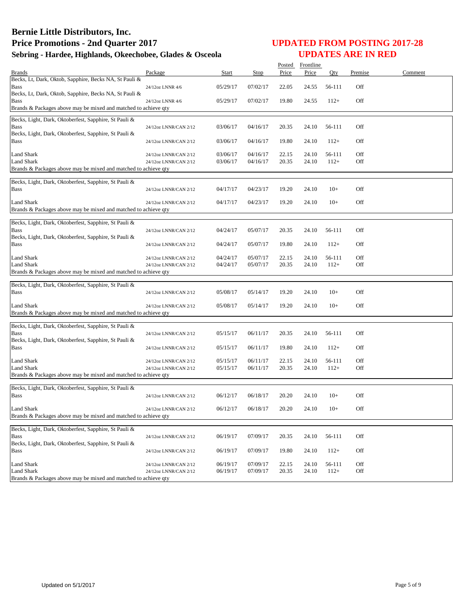|                                                                               |                       |          |          | Posted | Frontline |        |         |         |
|-------------------------------------------------------------------------------|-----------------------|----------|----------|--------|-----------|--------|---------|---------|
| <b>Brands</b>                                                                 | Package               | Start    | Stop     | Price  | Price     | Oty    | Premise | Comment |
| Becks, Lt, Dark, Oktob, Sapphire, Becks NA, St Pauli &                        |                       |          |          |        |           |        |         |         |
| Bass                                                                          | 24/12oz LNNR 4/6      | 05/29/17 | 07/02/17 | 22.05  | 24.55     | 56-111 | Off     |         |
| Becks, Lt, Dark, Oktob, Sapphire, Becks NA, St Pauli &                        |                       |          |          |        |           |        |         |         |
| Bass<br>Brands & Packages above may be mixed and matched to achieve qty       | 24/12oz LNNR 4/6      | 05/29/17 | 07/02/17 | 19.80  | 24.55     | $112+$ | Off     |         |
|                                                                               |                       |          |          |        |           |        |         |         |
| Becks, Light, Dark, Oktoberfest, Sapphire, St Pauli &                         |                       |          |          |        |           |        |         |         |
| <b>Bass</b>                                                                   | 24/12oz LNNR/CAN 2/12 | 03/06/17 | 04/16/17 | 20.35  | 24.10     | 56-111 | Off     |         |
| Becks, Light, Dark, Oktoberfest, Sapphire, St Pauli &                         |                       |          |          |        |           |        |         |         |
| Bass                                                                          | 24/12oz LNNR/CAN 2/12 | 03/06/17 | 04/16/17 | 19.80  | 24.10     | $112+$ | Off     |         |
| <b>Land Shark</b>                                                             | 24/12oz LNNR/CAN 2/12 | 03/06/17 | 04/16/17 | 22.15  | 24.10     | 56-111 | Off     |         |
| <b>Land Shark</b>                                                             | 24/12oz LNNR/CAN 2/12 | 03/06/17 | 04/16/17 | 20.35  | 24.10     | $112+$ | Off     |         |
| Brands & Packages above may be mixed and matched to achieve qty               |                       |          |          |        |           |        |         |         |
|                                                                               |                       |          |          |        |           |        |         |         |
| Becks, Light, Dark, Oktoberfest, Sapphire, St Pauli &                         |                       |          |          |        |           |        |         |         |
| <b>Bass</b>                                                                   | 24/12oz LNNR/CAN 2/12 | 04/17/17 | 04/23/17 | 19.20  | 24.10     | $10+$  | Off     |         |
| Land Shark                                                                    | 24/12oz LNNR/CAN 2/12 | 04/17/17 | 04/23/17 | 19.20  | 24.10     | $10+$  | Off     |         |
| Brands & Packages above may be mixed and matched to achieve qty               |                       |          |          |        |           |        |         |         |
|                                                                               |                       |          |          |        |           |        |         |         |
| Becks, Light, Dark, Oktoberfest, Sapphire, St Pauli &                         |                       |          |          |        |           |        |         |         |
| <b>Bass</b><br>Becks, Light, Dark, Oktoberfest, Sapphire, St Pauli &          | 24/12oz LNNR/CAN 2/12 | 04/24/17 | 05/07/17 | 20.35  | 24.10     | 56-111 | Off     |         |
| Bass                                                                          | 24/12oz LNNR/CAN 2/12 | 04/24/17 | 05/07/17 | 19.80  | 24.10     | $112+$ | Off     |         |
|                                                                               |                       |          |          |        |           |        |         |         |
| Land Shark                                                                    | 24/12oz LNNR/CAN 2/12 | 04/24/17 | 05/07/17 | 22.15  | 24.10     | 56-111 | Off     |         |
| <b>Land Shark</b>                                                             | 24/12oz LNNR/CAN 2/12 | 04/24/17 | 05/07/17 | 20.35  | 24.10     | $112+$ | Off     |         |
| Brands & Packages above may be mixed and matched to achieve qty               |                       |          |          |        |           |        |         |         |
| Becks, Light, Dark, Oktoberfest, Sapphire, St Pauli &                         |                       |          |          |        |           |        |         |         |
| <b>Bass</b>                                                                   | 24/12oz LNNR/CAN 2/12 | 05/08/17 | 05/14/17 | 19.20  | 24.10     | $10+$  | Off     |         |
|                                                                               |                       |          |          |        |           |        |         |         |
| <b>Land Shark</b>                                                             | 24/12oz LNNR/CAN 2/12 | 05/08/17 | 05/14/17 | 19.20  | 24.10     | $10+$  | Off     |         |
| Brands & Packages above may be mixed and matched to achieve qty               |                       |          |          |        |           |        |         |         |
| Becks, Light, Dark, Oktoberfest, Sapphire, St Pauli &                         |                       |          |          |        |           |        |         |         |
| <b>Bass</b>                                                                   | 24/12oz LNNR/CAN 2/12 | 05/15/17 | 06/11/17 | 20.35  | 24.10     | 56-111 | Off     |         |
| Becks, Light, Dark, Oktoberfest, Sapphire, St Pauli &                         |                       |          |          |        |           |        |         |         |
| Bass                                                                          | 24/12oz LNNR/CAN 2/12 | 05/15/17 | 06/11/17 | 19.80  | 24.10     | $112+$ | Off     |         |
|                                                                               |                       |          |          |        |           |        |         |         |
| <b>Land Shark</b>                                                             | 24/12oz LNNR/CAN 2/12 | 05/15/17 | 06/11/17 | 22.15  | 24.10     | 56-111 | Off     |         |
| Land Shark<br>Brands & Packages above may be mixed and matched to achieve qty | 24/12oz LNNR/CAN 2/12 | 05/15/17 | 06/11/17 | 20.35  | 24.10     | $112+$ | Off     |         |
|                                                                               |                       |          |          |        |           |        |         |         |
| Becks, Light, Dark, Oktoberfest, Sapphire, St Pauli &                         |                       |          |          |        |           |        |         |         |
| <b>Bass</b>                                                                   | 24/12oz LNNR/CAN 2/12 | 06/12/17 | 06/18/17 | 20.20  | 24.10     | $10+$  | Off     |         |
|                                                                               |                       |          |          |        |           |        |         |         |
| Land Shark<br>Brands & Packages above may be mixed and matched to achieve qty | 24/12oz LNNR/CAN 2/12 | 06/12/17 | 06/18/17 | 20.20  | 24.10     | $10+$  | Off     |         |
|                                                                               |                       |          |          |        |           |        |         |         |
| Becks, Light, Dark, Oktoberfest, Sapphire, St Pauli &                         |                       |          |          |        |           |        |         |         |
| <b>Bass</b>                                                                   | 24/12oz LNNR/CAN 2/12 | 06/19/17 | 07/09/17 | 20.35  | 24.10     | 56-111 | Off     |         |
| Becks, Light, Dark, Oktoberfest, Sapphire, St Pauli &                         |                       |          |          |        |           |        |         |         |
| Bass                                                                          | 24/12oz LNNR/CAN 2/12 | 06/19/17 | 07/09/17 | 19.80  | 24.10     | $112+$ | Off     |         |
| <b>Land Shark</b>                                                             | 24/12oz LNNR/CAN 2/12 | 06/19/17 | 07/09/17 | 22.15  | 24.10     | 56-111 | Off     |         |
| Land Shark                                                                    | 24/12oz LNNR/CAN 2/12 | 06/19/17 | 07/09/17 | 20.35  | 24.10     | $112+$ | Off     |         |
| Brands & Packages above may be mixed and matched to achieve qty               |                       |          |          |        |           |        |         |         |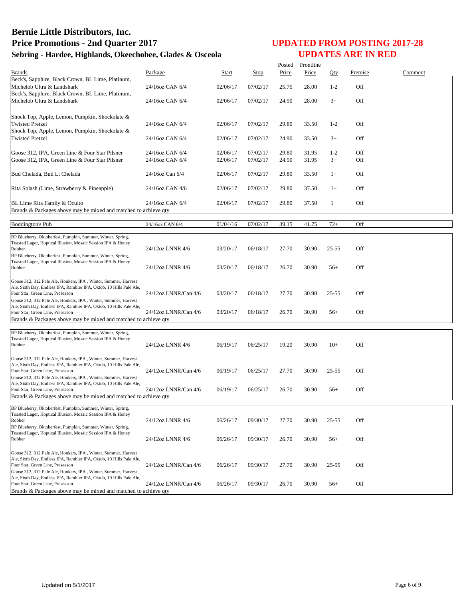|                                                                                                                                       |                      |              |             | Posted | Frontline |           |         |         |
|---------------------------------------------------------------------------------------------------------------------------------------|----------------------|--------------|-------------|--------|-----------|-----------|---------|---------|
| <b>Brands</b>                                                                                                                         | Package              | <b>Start</b> | <b>Stop</b> | Price  | Price     | Qty       | Premise | Comment |
| Beck's, Sapphire, Black Crown, BL Lime, Platinum,                                                                                     |                      |              |             |        |           |           |         |         |
| Michelob Ultra & Landshark                                                                                                            | 24/16oz CAN 6/4      | 02/06/17     | 07/02/17    | 25.75  | 28.00     | $1 - 2$   | Off     |         |
| Beck's, Sapphire, Black Crown, BL Lime, Platinum,                                                                                     |                      |              |             |        |           |           |         |         |
| Michelob Ultra & Landshark                                                                                                            | 24/16oz CAN 6/4      | 02/06/17     | 07/02/17    | 24.90  | 28.00     | $3+$      | Off     |         |
|                                                                                                                                       |                      |              |             |        |           |           |         |         |
| Shock Top, Apple, Lemon, Pumpkin, Shockolate &                                                                                        |                      |              |             |        |           |           |         |         |
| <b>Twisted Pretzel</b>                                                                                                                | 24/16oz CAN 6/4      | 02/06/17     | 07/02/17    | 29.80  | 33.50     | $1 - 2$   | Off     |         |
| Shock Top, Apple, Lemon, Pumpkin, Shockolate &                                                                                        |                      |              |             |        |           |           |         |         |
| <b>Twisted Pretzel</b>                                                                                                                | 24/16oz CAN 6/4      | 02/06/17     | 07/02/17    | 24.90  | 33.50     | $3+$      | Off     |         |
|                                                                                                                                       |                      |              |             |        |           |           |         |         |
| Goose 312, IPA, Green Line & Four Star Pilsner                                                                                        | 24/16oz CAN 6/4      | 02/06/17     | 07/02/17    | 29.80  | 31.95     | $1 - 2$   | Off     |         |
| Goose 312, IPA, Green Line & Four Star Pilsner                                                                                        | 24/16oz CAN 6/4      | 02/06/17     | 07/02/17    | 24.90  | 31.95     | $3+$      | Off     |         |
|                                                                                                                                       |                      |              |             |        |           |           |         |         |
| Bud Chelada, Bud Lt Chelada                                                                                                           | 24/16oz Can 6/4      | 02/06/17     | 07/02/17    | 29.80  | 33.50     | $1+$      | Off     |         |
|                                                                                                                                       |                      |              |             |        |           |           |         |         |
| Rita Splash (Lime, Strawberry & Pineapple)                                                                                            | 24/16oz CAN 4/6      | 02/06/17     | 07/02/17    | 29.80  | 37.50     | $1+$      | Off     |         |
|                                                                                                                                       |                      |              |             |        |           |           |         |         |
|                                                                                                                                       |                      |              |             |        |           |           |         |         |
| BL Lime Rita Family & Oculto                                                                                                          | 24/16oz CAN 6/4      | 02/06/17     | 07/02/17    | 29.80  | 37.50     | $1+$      | Off     |         |
| Brands & Packages above may be mixed and matched to achieve qty                                                                       |                      |              |             |        |           |           |         |         |
| <b>Boddington's Pub</b>                                                                                                               | 24/16oz CAN 6/4      | 01/04/16     | 07/02/17    | 39.15  | 41.75     | $72+$     | Off     |         |
|                                                                                                                                       |                      |              |             |        |           |           |         |         |
| BP Blueberry, Oktoberfest, Pumpkin, Summer, Winter, Spring,                                                                           |                      |              |             |        |           |           |         |         |
| Toasted Lager, Hoptical Illusion, Mosaic Session IPA & Honey                                                                          |                      |              |             |        |           |           |         |         |
| Robber                                                                                                                                | 24/12oz LNNR 4/6     | 03/20/17     | 06/18/17    | 27.70  | 30.90     | 25-55     | Off     |         |
| BP Blueberry, Oktoberfest, Pumpkin, Summer, Winter, Spring,                                                                           |                      |              |             |        |           |           |         |         |
| Toasted Lager, Hoptical Illusion, Mosaic Session IPA & Honey<br>Robber                                                                | 24/12oz LNNR 4/6     | 03/20/17     | 06/18/17    | 26.70  | 30.90     | $56+$     | Off     |         |
|                                                                                                                                       |                      |              |             |        |           |           |         |         |
| Goose 312, 312 Pale Ale, Honkers, IPA, Winter, Summer, Harvest                                                                        |                      |              |             |        |           |           |         |         |
| Ale, Sixth Day, Endless IPA, Rambler IPA, Oktob, 10 Hills Pale Ale,                                                                   |                      |              |             |        |           |           |         |         |
| Four Star, Green Line, Preseason                                                                                                      | 24/12oz LNNR/Can 4/6 | 03/20/17     | 06/18/17    | 27.70  | 30.90     | $25 - 55$ | Off     |         |
| Goose 312, 312 Pale Ale, Honkers, IPA, Winter, Summer, Harvest                                                                        |                      |              |             |        |           |           |         |         |
| Ale, Sixth Day, Endless IPA, Rambler IPA, Oktob, 10 Hills Pale Ale,                                                                   |                      |              |             |        |           |           |         |         |
| Four Star, Green Line, Preseason                                                                                                      | 24/12oz LNNR/Can 4/6 | 03/20/17     | 06/18/17    | 26.70  | 30.90     | $56+$     | Off     |         |
| Brands & Packages above may be mixed and matched to achieve qty                                                                       |                      |              |             |        |           |           |         |         |
|                                                                                                                                       |                      |              |             |        |           |           |         |         |
| BP Blueberry, Oktoberfest, Pumpkin, Summer, Winter, Spring,<br>Toasted Lager, Hoptical Illusion, Mosaic Session IPA & Honey           |                      |              |             |        |           |           |         |         |
| Robber                                                                                                                                | 24/12oz LNNR 4/6     | 06/19/17     | 06/25/17    | 19.20  | 30.90     | $10+$     | Off     |         |
|                                                                                                                                       |                      |              |             |        |           |           |         |         |
| Goose 312, 312 Pale Ale, Honkers, IPA, Winter, Summer, Harvest                                                                        |                      |              |             |        |           |           |         |         |
| Ale, Sixth Day, Endless IPA, Rambler IPA, Oktob, 10 Hills Pale Ale,                                                                   |                      |              |             |        |           |           |         |         |
| Four Star, Green Line, Preseason                                                                                                      | 24/12oz LNNR/Can 4/6 | 06/19/17     | 06/25/17    | 27.70  | 30.90     | $25 - 55$ | Off     |         |
| Goose 312, 312 Pale Ale, Honkers, IPA, Winter, Summer, Harvest                                                                        |                      |              |             |        |           |           |         |         |
| Ale, Sixth Day, Endless IPA, Rambler IPA, Oktob, 10 Hills Pale Ale,                                                                   |                      |              |             |        |           |           |         |         |
| Four Star, Green Line, Preseason                                                                                                      | 24/12oz LNNR/Can 4/6 | 06/19/17     | 06/25/17    | 26.70  | 30.90     | $56+$     | Off     |         |
| Brands & Packages above may be mixed and matched to achieve qty                                                                       |                      |              |             |        |           |           |         |         |
| BP Blueberry, Oktoberfest, Pumpkin, Summer, Winter, Spring,                                                                           |                      |              |             |        |           |           |         |         |
| Toasted Lager, Hoptical Illusion, Mosaic Session IPA & Honey                                                                          |                      |              |             |        |           |           |         |         |
| Robber                                                                                                                                | 24/12oz LNNR 4/6     | 06/26/17     | 09/30/17    | 27.70  | 30.90     | $25 - 55$ | Off     |         |
| BP Blueberry, Oktoberfest, Pumpkin, Summer, Winter, Spring,                                                                           |                      |              |             |        |           |           |         |         |
| Toasted Lager, Hoptical Illusion, Mosaic Session IPA & Honey                                                                          |                      |              |             |        |           |           |         |         |
| Robber                                                                                                                                | 24/12oz LNNR 4/6     | 06/26/17     | 09/30/17    | 26.70  | 30.90     | $56+$     | Off     |         |
|                                                                                                                                       |                      |              |             |        |           |           |         |         |
| Goose 312, 312 Pale Ale, Honkers, IPA, Winter, Summer, Harvest<br>Ale, Sixth Day, Endless IPA, Rambler IPA, Oktob, 10 Hills Pale Ale, |                      |              |             |        |           |           |         |         |
| Four Star, Green Line, Preseason                                                                                                      | 24/12oz LNNR/Can 4/6 | 06/26/17     | 09/30/17    | 27.70  | 30.90     | $25 - 55$ | Off     |         |
| Goose 312, 312 Pale Ale, Honkers, IPA, Winter, Summer, Harvest                                                                        |                      |              |             |        |           |           |         |         |
| Ale, Sixth Day, Endless IPA, Rambler IPA, Oktob, 10 Hills Pale Ale,                                                                   |                      |              |             |        |           |           |         |         |
| Four Star, Green Line, Preseason                                                                                                      | 24/12oz LNNR/Can 4/6 | 06/26/17     | 09/30/17    | 26.70  | 30.90     | $56+$     | Off     |         |
| Brands & Packages above may be mixed and matched to achieve gty                                                                       |                      |              |             |        |           |           |         |         |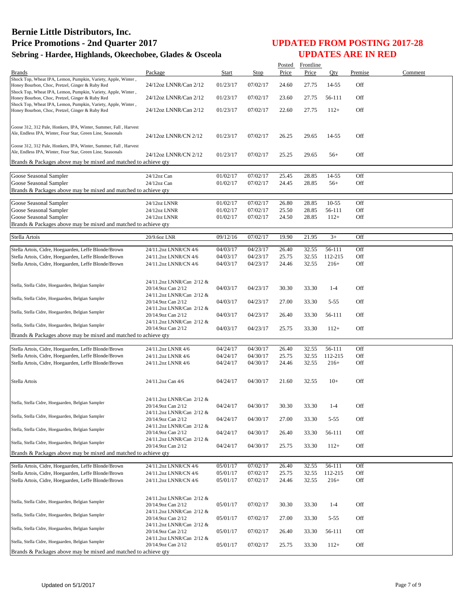|                                                                                                                  |                                                 |                      |                      |                | Posted Frontline |                   |            |         |
|------------------------------------------------------------------------------------------------------------------|-------------------------------------------------|----------------------|----------------------|----------------|------------------|-------------------|------------|---------|
| <b>Brands</b>                                                                                                    | Package                                         | Start                | Stop                 | Price          | Price            | Qty               | Premise    | Comment |
| Shock Top, Wheat IPA, Lemon, Pumpkin, Variety, Apple, Winter,                                                    |                                                 |                      |                      |                |                  |                   |            |         |
| Honey Bourbon, Choc, Pretzel, Ginger & Ruby Red<br>Shock Top, Wheat IPA, Lemon, Pumpkin, Variety, Apple, Winter, | 24/12oz LNNR/Can 2/12                           | 01/23/17             | 07/02/17             | 24.60          | 27.75            | 14-55             | Off        |         |
| Honey Bourbon, Choc, Pretzel, Ginger & Ruby Red                                                                  | 24/12oz LNNR/Can 2/12                           | 01/23/17             | 07/02/17             | 23.60          | 27.75            | 56-111            | Off        |         |
| Shock Top, Wheat IPA, Lemon, Pumpkin, Variety, Apple, Winter,                                                    |                                                 |                      |                      |                |                  |                   |            |         |
| Honey Bourbon, Choc, Pretzel, Ginger & Ruby Red                                                                  | 24/12oz LNNR/Can 2/12                           | 01/23/17             | 07/02/17             | 22.60          | 27.75            | $112+$            | Off        |         |
|                                                                                                                  |                                                 |                      |                      |                |                  |                   |            |         |
| Goose 312, 312 Pale, Honkers, IPA, Winter, Summer, Fall, Harvest                                                 |                                                 |                      |                      |                |                  |                   |            |         |
| Ale, Endless IPA, Winter, Four Star, Green Line, Seasonals                                                       | 24/12oz LNNR/CN 2/12                            | 01/23/17             | 07/02/17             | 26.25          | 29.65            | 14-55             | Off        |         |
| Goose 312, 312 Pale, Honkers, IPA, Winter, Summer, Fall, Harvest                                                 |                                                 |                      |                      |                |                  |                   |            |         |
| Ale, Endless IPA, Winter, Four Star, Green Line, Seasonals                                                       |                                                 |                      |                      |                |                  |                   |            |         |
| Brands & Packages above may be mixed and matched to achieve qty                                                  | 24/12oz LNNR/CN 2/12                            | 01/23/17             | 07/02/17             | 25.25          | 29.65            | $56+$             | Off        |         |
|                                                                                                                  |                                                 |                      |                      |                |                  |                   |            |         |
| Goose Seasonal Sampler                                                                                           | 24/12oz Can                                     | 01/02/17             | 07/02/17             | 25.45          | 28.85            | 14-55             | Off        |         |
| Goose Seasonal Sampler                                                                                           | 24/12oz Can                                     | 01/02/17             | 07/02/17             | 24.45          | 28.85            | $56+$             | Off        |         |
| Brands & Packages above may be mixed and matched to achieve qty                                                  |                                                 |                      |                      |                |                  |                   |            |         |
|                                                                                                                  |                                                 |                      |                      |                |                  |                   |            |         |
| Goose Seasonal Sampler                                                                                           | 24/12oz LNNR                                    | 01/02/17             | 07/02/17             | 26.80          | 28.85            | $10-55$           | Off        |         |
| Goose Seasonal Sampler                                                                                           | 24/12oz LNNR                                    | 01/02/17             | 07/02/17             | 25.50          | 28.85            | 56-111            | Off        |         |
| Goose Seasonal Sampler                                                                                           | 24/12oz LNNR                                    | 01/02/17             | 07/02/17             | 24.50          | 28.85            | $112+$            | Off        |         |
| Brands & Packages above may be mixed and matched to achieve qty                                                  |                                                 |                      |                      |                |                  |                   |            |         |
| Stella Artois                                                                                                    | 20/9.6oz LNR                                    | 09/12/16             | 07/02/17             | 19.90          | 21.95            | $3+$              | Off        |         |
|                                                                                                                  |                                                 |                      |                      |                |                  |                   |            |         |
| Stella Artois, Cidre, Hoegaarden, Leffe Blonde/Brown                                                             | 24/11.2oz LNNR/CN 4/6                           | 04/03/17             | 04/23/17             | 26.40          | 32.55            | 56-111            | Off        |         |
| Stella Artois, Cidre, Hoegaarden, Leffe Blonde/Brown                                                             | 24/11.2oz LNNR/CN 4/6                           | 04/03/17             | 04/23/17             | 25.75          | 32.55            | 112-215           | Off        |         |
| Stella Artois, Cidre, Hoegaarden, Leffe Blonde/Brown                                                             | 24/11.2oz LNNR/CN 4/6                           | 04/03/17             | 04/23/17             | 24.46          | 32.55            | $216+$            | Off        |         |
|                                                                                                                  |                                                 |                      |                      |                |                  |                   |            |         |
| Stella, Stella Cidre, Hoegaarden, Belgian Sampler                                                                | 24/11.2oz LNNR/Can 2/12 &                       |                      |                      |                |                  |                   |            |         |
|                                                                                                                  | 20/14.9oz Can 2/12                              | 04/03/17             | 04/23/17             | 30.30          | 33.30            | $1 - 4$           | Off        |         |
| Stella, Stella Cidre, Hoegaarden, Belgian Sampler                                                                | 24/11.2oz LNNR/Can 2/12 &<br>20/14.9oz Can 2/12 |                      |                      |                |                  | $5 - 55$          | Off        |         |
|                                                                                                                  | 24/11.2oz LNNR/Can 2/12 &                       | 04/03/17             | 04/23/17             | 27.00          | 33.30            |                   |            |         |
| Stella, Stella Cidre, Hoegaarden, Belgian Sampler                                                                | 20/14.9oz Can 2/12                              | 04/03/17             | 04/23/17             | 26.40          | 33.30            | 56-111            | Off        |         |
|                                                                                                                  | 24/11.2oz LNNR/Can 2/12 &                       |                      |                      |                |                  |                   |            |         |
| Stella, Stella Cidre, Hoegaarden, Belgian Sampler                                                                | 20/14.9oz Can 2/12                              | 04/03/17             | 04/23/17             | 25.75          | 33.30            | $112+$            | Off        |         |
| Brands & Packages above may be mixed and matched to achieve qty                                                  |                                                 |                      |                      |                |                  |                   |            |         |
|                                                                                                                  |                                                 | 04/24/17             | 04/30/17             | 26.40          | 32.55            | 56-111            | Off        |         |
| Stella Artois, Cidre, Hoegaarden, Leffe Blonde/Brown<br>Stella Artois, Cidre, Hoegaarden, Leffe Blonde/Brown     | 24/11.2oz LNNR 4/6<br>24/11.2oz LNNR 4/6        | 04/24/17             | 04/30/17             | 25.75          | 32.55            | 112-215           | Off        |         |
| Stella Artois, Cidre, Hoegaarden, Leffe Blonde/Brown                                                             | 24/11.2oz LNNR 4/6                              | 04/24/17             | 04/30/17             | 24.46          | 32.55            | $216+$            | Off        |         |
|                                                                                                                  |                                                 |                      |                      |                |                  |                   |            |         |
|                                                                                                                  |                                                 |                      |                      |                |                  |                   |            |         |
| Stella Artois                                                                                                    | 24/11.2oz Can 4/6                               | 04/24/17             | 04/30/17             | 21.60          | 32.55            | $10+$             | Off        |         |
|                                                                                                                  |                                                 |                      |                      |                |                  |                   |            |         |
|                                                                                                                  | 24/11.2oz LNNR/Can 2/12 &                       |                      |                      |                |                  |                   |            |         |
| Stella, Stella Cidre, Hoegaarden, Belgian Sampler                                                                | 20/14.9oz Can 2/12                              | 04/24/17             | 04/30/17             | 30.30          | 33.30            | $1 - 4$           | Off        |         |
| Stella, Stella Cidre, Hoegaarden, Belgian Sampler                                                                | 24/11.2oz LNNR/Can 2/12 &                       |                      |                      |                |                  |                   |            |         |
|                                                                                                                  | 20/14.9oz Can 2/12<br>24/11.2oz LNNR/Can 2/12 & | 04/24/17             | 04/30/17             | 27.00          | 33.30            | $5 - 55$          | Off        |         |
| Stella, Stella Cidre, Hoegaarden, Belgian Sampler                                                                | 20/14.9oz Can 2/12                              | 04/24/17             | 04/30/17             | 26.40          | 33.30            | 56-111            | Off        |         |
|                                                                                                                  | 24/11.2oz LNNR/Can 2/12 &                       |                      |                      |                |                  |                   |            |         |
| Stella, Stella Cidre, Hoegaarden, Belgian Sampler                                                                | 20/14.9oz Can 2/12                              | 04/24/17             | 04/30/17             | 25.75          | 33.30            | $112+$            | Off        |         |
| Brands & Packages above may be mixed and matched to achieve gty                                                  |                                                 |                      |                      |                |                  |                   |            |         |
|                                                                                                                  |                                                 |                      |                      |                |                  |                   |            |         |
| Stella Artois, Cidre, Hoegaarden, Leffe Blonde/Brown                                                             | 24/11.2oz LNNR/CN 4/6                           | 05/01/17             | 07/02/17             | 26.40          | 32.55            | 56-111            | Off        |         |
| Stella Artois, Cidre, Hoegaarden, Leffe Blonde/Brown<br>Stella Artois, Cidre, Hoegaarden, Leffe Blonde/Brown     | 24/11.2oz LNNR/CN 4/6<br>24/11.2oz LNNR/CN 4/6  | 05/01/17<br>05/01/17 | 07/02/17<br>07/02/17 | 25.75<br>24.46 | 32.55<br>32.55   | 112-215<br>$216+$ | Off<br>Off |         |
|                                                                                                                  |                                                 |                      |                      |                |                  |                   |            |         |
|                                                                                                                  |                                                 |                      |                      |                |                  |                   |            |         |
| Stella, Stella Cidre, Hoegaarden, Belgian Sampler                                                                | 24/11.2oz LNNR/Can 2/12 &                       |                      |                      |                |                  |                   |            |         |
|                                                                                                                  | 20/14.9oz Can 2/12                              | 05/01/17             | 07/02/17             | 30.30          | 33.30            | $1 - 4$           | Off        |         |
| Stella, Stella Cidre, Hoegaarden, Belgian Sampler                                                                | 24/11.2oz LNNR/Can 2/12 &<br>20/14.9oz Can 2/12 | 05/01/17             | 07/02/17             | 27.00          | 33.30            | $5 - 55$          | Off        |         |
|                                                                                                                  | 24/11.2oz LNNR/Can 2/12 &                       |                      |                      |                |                  |                   |            |         |
| Stella, Stella Cidre, Hoegaarden, Belgian Sampler                                                                | 20/14.9oz Can 2/12                              | 05/01/17             | 07/02/17             | 26.40          | 33.30            | 56-111            | Off        |         |
| Stella, Stella Cidre, Hoegaarden, Belgian Sampler                                                                | 24/11.2oz LNNR/Can 2/12 &                       |                      |                      |                |                  |                   |            |         |
|                                                                                                                  | 20/14.9oz Can 2/12                              | 05/01/17             | 07/02/17             | 25.75          | 33.30            | $112+$            | Off        |         |
| Brands & Packages above may be mixed and matched to achieve qty                                                  |                                                 |                      |                      |                |                  |                   |            |         |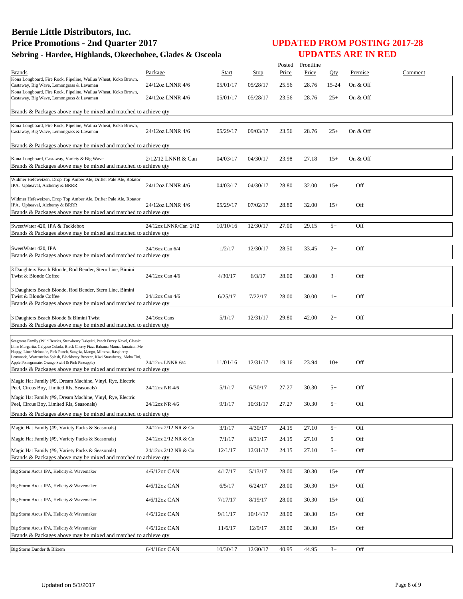|                                                                                                                                                    |                       |              |          |       | Posted Frontline |       |          |         |
|----------------------------------------------------------------------------------------------------------------------------------------------------|-----------------------|--------------|----------|-------|------------------|-------|----------|---------|
| <b>Brands</b><br>Kona Longboard, Fire Rock, Pipeline, Wailua Wheat, Koko Brown,                                                                    | Package               | <b>Start</b> | Stop     | Price | Price            | Qty   | Premise  | Comment |
| Castaway, Big Wave, Lemongrass & Lavaman                                                                                                           | 24/12oz LNNR 4/6      | 05/01/17     | 05/28/17 | 25.56 | 28.76            | 15-24 | On & Off |         |
| Kona Longboard, Fire Rock, Pipeline, Wailua Wheat, Koko Brown,<br>Castaway, Big Wave, Lemongrass & Lavaman                                         | 24/12oz LNNR 4/6      | 05/01/17     | 05/28/17 | 23.56 | 28.76            | $25+$ | On & Off |         |
|                                                                                                                                                    |                       |              |          |       |                  |       |          |         |
| Brands & Packages above may be mixed and matched to achieve qty                                                                                    |                       |              |          |       |                  |       |          |         |
| Kona Longboard, Fire Rock, Pipeline, Wailua Wheat, Koko Brown,                                                                                     |                       |              |          |       |                  |       |          |         |
| Castaway, Big Wave, Lemongrass & Lavaman                                                                                                           | 24/12oz LNNR 4/6      | 05/29/17     | 09/03/17 | 23.56 | 28.76            | $25+$ | On & Off |         |
| Brands & Packages above may be mixed and matched to achieve qty                                                                                    |                       |              |          |       |                  |       |          |         |
| Kona Longboard, Castaway, Variety & Big Wave                                                                                                       | $2/12/12$ LNNR & Can  | 04/03/17     | 04/30/17 | 23.98 | 27.18            | $15+$ | On & Off |         |
| Brands & Packages above may be mixed and matched to achieve qty                                                                                    |                       |              |          |       |                  |       |          |         |
| Widmer Hefeweizen, Drop Top Amber Ale, Drifter Pale Ale, Rotator                                                                                   |                       |              |          |       |                  |       |          |         |
| IPA, Upheaval, Alchemy & BRRR                                                                                                                      | 24/12oz LNNR 4/6      | 04/03/17     | 04/30/17 | 28.80 | 32.00            | $15+$ | Off      |         |
| Widmer Hefeweizen, Drop Top Amber Ale, Drifter Pale Ale, Rotator                                                                                   |                       |              |          |       |                  |       |          |         |
| IPA, Upheaval, Alchemy & BRRR                                                                                                                      | 24/12oz LNNR 4/6      | 05/29/17     | 07/02/17 | 28.80 | 32.00            | $15+$ | Off      |         |
| Brands & Packages above may be mixed and matched to achieve qty                                                                                    |                       |              |          |       |                  |       |          |         |
| SweetWater 420, IPA & Tacklebox                                                                                                                    | 24/12oz LNNR/Can 2/12 | 10/10/16     | 12/30/17 | 27.00 | 29.15            | $5+$  | Off      |         |
| Brands & Packages above may be mixed and matched to achieve qty                                                                                    |                       |              |          |       |                  |       |          |         |
| SweetWater 420, IPA                                                                                                                                | 24/16oz Can 6/4       | 1/2/17       | 12/30/17 | 28.50 | 33.45            | $2+$  | Off      |         |
| Brands & Packages above may be mixed and matched to achieve qty                                                                                    |                       |              |          |       |                  |       |          |         |
|                                                                                                                                                    |                       |              |          |       |                  |       |          |         |
| 3 Daughters Beach Blonde, Rod Bender, Stern Line, Bimini<br>Twist & Blonde Coffee                                                                  | 24/12oz Can 4/6       | 4/30/17      | 6/3/17   | 28.00 | 30.00            | $3+$  | Off      |         |
|                                                                                                                                                    |                       |              |          |       |                  |       |          |         |
| 3 Daughters Beach Blonde, Rod Bender, Stern Line, Bimini<br>Twist & Blonde Coffee                                                                  | 24/12oz Can 4/6       | 6/25/17      | 7/22/17  | 28.00 | 30.00            | $1+$  | Off      |         |
| Brands & Packages above may be mixed and matched to achieve qty                                                                                    |                       |              |          |       |                  |       |          |         |
|                                                                                                                                                    |                       |              |          |       |                  |       |          |         |
| 3 Daughters Beach Blonde & Bimini Twist<br>Brands & Packages above may be mixed and matched to achieve qty                                         | 24/16oz Cans          | 5/1/17       | 12/31/17 | 29.80 | 42.00            | $2+$  | Off      |         |
|                                                                                                                                                    |                       |              |          |       |                  |       |          |         |
| Seagrams Family (Wild Berries, Strawberry Daiquiri, Peach Fuzzy Navel, Classic                                                                     |                       |              |          |       |                  |       |          |         |
| Lime Margarita, Calypso Colada, Black Cherry Fizz, Bahama Mama, Jamaican Me<br>Happy, Lime Melonade, Pink Punch, Sangria, Mango, Mimosa, Raspberry |                       |              |          |       |                  |       |          |         |
| Lemonade, Watermelon Splash, Blackberry Breezer, Kiwi Strawberry, Aloha Tini,<br>Apple Pomegranate, Orange Swirl & Pink Pineapple)                 | 24/12oz LNNR 6/4      | 11/01/16     | 12/31/17 | 19.16 | 23.94            | $10+$ | Off      |         |
| Brands & Packages above may be mixed and matched to achieve qty                                                                                    |                       |              |          |       |                  |       |          |         |
| Magic Hat Family (#9, Dream Machine, Vinyl, Rye, Electric                                                                                          |                       |              |          |       |                  |       |          |         |
| Peel, Circus Boy, Limited Rls, Seasonals)                                                                                                          | 24/12oz NR 4/6        | 5/1/17       | 6/30/17  | 27.27 | 30.30            | $5+$  | Off      |         |
| Magic Hat Family (#9, Dream Machine, Vinyl, Rye, Electric                                                                                          | 24/12oz NR 4/6        |              | 10/31/17 |       |                  | $5+$  | Off      |         |
| Peel, Circus Boy, Limited Rls, Seasonals)<br>Brands & Packages above may be mixed and matched to achieve gty                                       |                       | 9/1/17       |          | 27.27 | 30.30            |       |          |         |
|                                                                                                                                                    |                       |              |          |       |                  |       |          |         |
| Magic Hat Family (#9, Variety Packs & Seasonals)                                                                                                   | 24/12oz 2/12 NR & Cn  | 3/1/17       | 4/30/17  | 24.15 | 27.10            | $5+$  | Off      |         |
| Magic Hat Family (#9, Variety Packs & Seasonals)                                                                                                   | 24/12oz 2/12 NR & Cn  | 7/1/17       | 8/31/17  | 24.15 | 27.10            | $5+$  | Off      |         |
| Magic Hat Family (#9, Variety Packs & Seasonals)                                                                                                   | 24/12oz 2/12 NR & Cn  | 12/1/17      | 12/31/17 | 24.15 | 27.10            | $5+$  | Off      |         |
| Brands & Packages above may be mixed and matched to achieve qty                                                                                    |                       |              |          |       |                  |       |          |         |
| Big Storm Arcus IPA, Helicity & Wavemaker                                                                                                          | $4/6/12$ oz CAN       | 4/17/17      | 5/13/17  | 28.00 | 30.30            | $15+$ | Off      |         |
|                                                                                                                                                    |                       |              |          |       |                  |       |          |         |
| Big Storm Arcus IPA, Helicity & Wavemaker                                                                                                          | 4/6/12oz CAN          | 6/5/17       | 6/24/17  | 28.00 | 30.30            | $15+$ | Off      |         |
| Big Storm Arcus IPA, Helicity & Wavemaker                                                                                                          | 4/6/12oz CAN          | 7/17/17      | 8/19/17  | 28.00 | 30.30            | $15+$ | Off      |         |
|                                                                                                                                                    |                       |              |          |       |                  |       |          |         |
| Big Storm Arcus IPA, Helicity & Wavemaker                                                                                                          | 4/6/12oz CAN          | 9/11/17      | 10/14/17 | 28.00 | 30.30            | $15+$ | Off      |         |
| Big Storm Arcus IPA, Helicity & Wavemaker                                                                                                          | 4/6/12oz CAN          | 11/6/17      | 12/9/17  | 28.00 | 30.30            | $15+$ | Off      |         |
| Brands & Packages above may be mixed and matched to achieve qty                                                                                    |                       |              |          |       |                  |       |          |         |
| Big Storm Dunder & Blixem                                                                                                                          | 6/4/16oz CAN          | 10/30/17     | 12/30/17 | 40.95 | 44.95            | $3+$  | Off      |         |